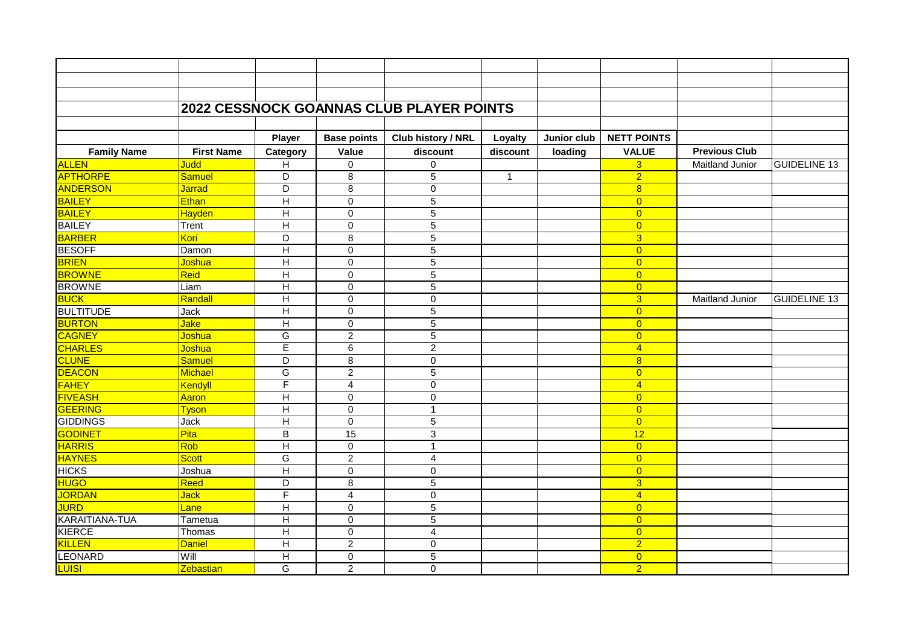|                       |                   |                         |                    | <b>2022 CESSNOCK GOANNAS CLUB PLAYER POINTS</b> |              |             |                    |                        |                     |
|-----------------------|-------------------|-------------------------|--------------------|-------------------------------------------------|--------------|-------------|--------------------|------------------------|---------------------|
|                       |                   |                         |                    |                                                 |              |             |                    |                        |                     |
|                       |                   |                         |                    |                                                 |              |             |                    |                        |                     |
|                       |                   | <b>Player</b>           | <b>Base points</b> | Club history / NRL                              | Loyalty      | Junior club | <b>NETT POINTS</b> |                        |                     |
| <b>Family Name</b>    | <b>First Name</b> | Category                | Value              | discount                                        | discount     | loading     | <b>VALUE</b>       | <b>Previous Club</b>   |                     |
| <b>ALLEN</b>          | <b>Judd</b>       | $\overline{\mathsf{H}}$ | 0                  | $\pmb{0}$                                       |              |             | 3 <sup>5</sup>     | <b>Maitland Junior</b> | <b>GUIDELINE 13</b> |
| <b>APTHORPE</b>       | Samuel            | D                       | $\overline{8}$     | 5                                               | $\mathbf{1}$ |             | $\overline{2}$     |                        |                     |
| <b>ANDERSON</b>       | <b>Jarrad</b>     | D                       | 8                  | $\pmb{0}$                                       |              |             | 8                  |                        |                     |
| <b>BAILEY</b>         | Ethan             | $\mathsf{H}$            | $\mathbf 0$        | $\sqrt{5}$                                      |              |             | $\overline{0}$     |                        |                     |
| <b>BAILEY</b>         | Hayden            | $\mathsf{H}$            | $\overline{0}$     | $\overline{5}$                                  |              |             | $\overline{0}$     |                        |                     |
| <b>BAILEY</b>         | Trent             | Н                       | $\mathbf 0$        | 5                                               |              |             | $\overline{0}$     |                        |                     |
| <b>BARBER</b>         | Kori              | D                       | $\bf 8$            | $\mathbf 5$                                     |              |             | 3 <sup>5</sup>     |                        |                     |
| <b>BESOFF</b>         | Damon             | $\overline{H}$          | $\mathbf 0$        | $\overline{5}$                                  |              |             | $\overline{0}$     |                        |                     |
| <b>BRIEN</b>          | Joshua            | $\overline{H}$          | $\mathbf 0$        | $\overline{5}$                                  |              |             | $\overline{0}$     |                        |                     |
| <b>BROWNE</b>         | Reid              | $\overline{\mathsf{H}}$ | $\mathbf 0$        | $\overline{5}$                                  |              |             | $\overline{0}$     |                        |                     |
| <b>BROWNE</b>         | Liam              | Н                       | $\Omega$           | $\mathbf 5$                                     |              |             | $\overline{0}$     |                        |                     |
| <b>BUCK</b>           | Randall           | H                       | $\mathbf 0$        | $\mathbf 0$                                     |              |             | $\overline{3}$     | <b>Maitland Junior</b> | <b>GUIDELINE 13</b> |
| <b>BULTITUDE</b>      | Jack              | H                       | $\Omega$           | $\overline{5}$                                  |              |             | $\overline{0}$     |                        |                     |
| <b>BURTON</b>         | <b>Jake</b>       | $\mathsf{H}$            | $\mathbf 0$        | $\sqrt{5}$                                      |              |             | $\overline{0}$     |                        |                     |
| <b>CAGNEY</b>         | Joshua            | G                       | $\overline{2}$     | $\overline{5}$                                  |              |             | $\overline{0}$     |                        |                     |
| <b>CHARLES</b>        | Joshua            | E                       | 6                  | $\overline{c}$                                  |              |             | $\overline{4}$     |                        |                     |
| <b>CLUNE</b>          | <b>Samuel</b>     | D                       | 8                  | 0                                               |              |             | 8                  |                        |                     |
| <b>DEACON</b>         | Michael           | G                       | $\overline{2}$     | $\sqrt{5}$                                      |              |             | $\overline{0}$     |                        |                     |
| <b>FAHEY</b>          | Kendyll           | F                       | $\overline{4}$     | $\mathbf 0$                                     |              |             | $\overline{4}$     |                        |                     |
| <b>FIVEASH</b>        | Aaron             | $\overline{H}$          | $\mathbf 0$        | 0                                               |              |             | $\overline{0}$     |                        |                     |
| <b>GEERING</b>        | <b>Tyson</b>      | H                       | $\Omega$           | $\mathbf{1}$                                    |              |             | $\overline{0}$     |                        |                     |
| <b>GIDDINGS</b>       | Jack              | $\overline{\mathsf{H}}$ | $\mathbf 0$        | $\overline{5}$                                  |              |             | $\overline{0}$     |                        |                     |
| <b>GODINET</b>        | Pita              | $\overline{\mathsf{B}}$ | 15                 | 3                                               |              |             | $\overline{12}$    |                        |                     |
| <b>HARRIS</b>         | Rob               | H                       | $\mathbf 0$        | $\mathbf{1}$                                    |              |             | $\overline{0}$     |                        |                     |
| <b>HAYNES</b>         | <b>Scott</b>      | G                       | $\overline{2}$     | 4                                               |              |             | $\overline{0}$     |                        |                     |
| <b>HICKS</b>          | Joshua            | Н                       | $\mathbf 0$        | $\Omega$                                        |              |             | $\overline{0}$     |                        |                     |
| <b>HUGO</b>           | <b>Reed</b>       | D                       | 8                  | $\overline{5}$                                  |              |             | $\overline{3}$     |                        |                     |
| JORDAN                | <b>Jack</b>       | F                       | $\overline{4}$     | $\pmb{0}$                                       |              |             | $\overline{4}$     |                        |                     |
| <b>JURD</b>           | Lane              | H                       | $\mathbf 0$        | 5                                               |              |             | $\overline{0}$     |                        |                     |
| <b>KARAITIANA-TUA</b> | Tametua           | H                       | $\Omega$           | 5                                               |              |             | $\overline{0}$     |                        |                     |
| <b>KIERCE</b>         | Thomas            | H                       | $\mathbf 0$        | $\overline{4}$                                  |              |             | $\overline{0}$     |                        |                     |
| KILLEN                | <b>Daniel</b>     | H                       | $\overline{2}$     | $\mathbf 0$                                     |              |             | $\overline{2}$     |                        |                     |
| <b>LEONARD</b>        | Will              | H                       | $\mathbf 0$        | 5                                               |              |             | $\overline{0}$     |                        |                     |
| <b>LUISI</b>          | Zebastian         | G                       | $\overline{2}$     | 0                                               |              |             | $\overline{2}$     |                        |                     |